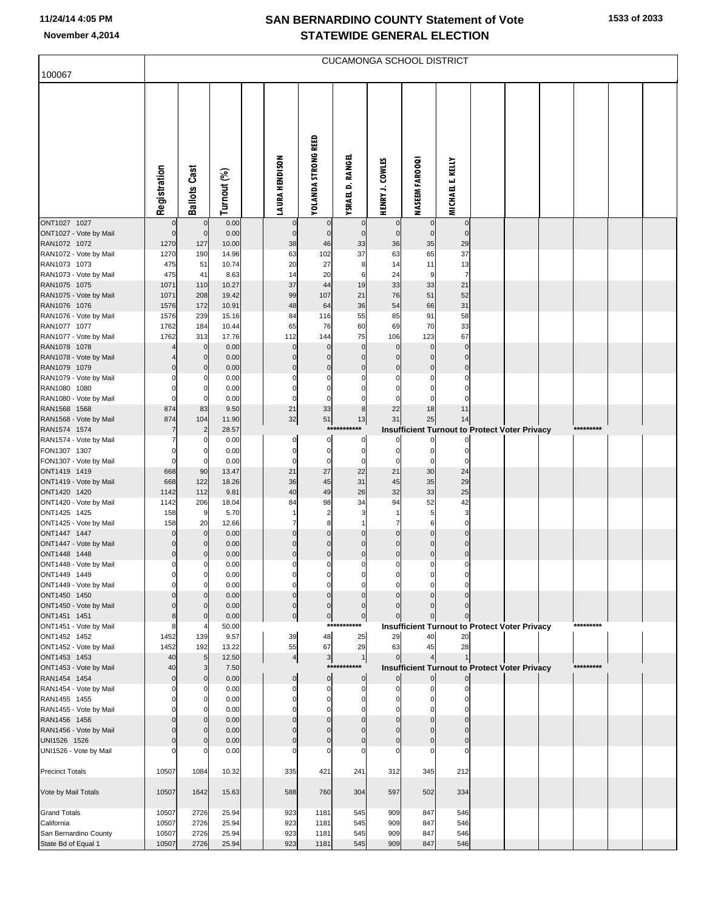## **SAN BERNARDINO COUNTY Statement of Vote November 4,2014 STATEWIDE GENERAL ELECTION**

| 100067                                       | <b>CUCAMONGA SCHOOL DISTRICT</b> |                                |                |  |                            |                             |                                  |                               |                                                                        |                            |  |  |  |           |  |
|----------------------------------------------|----------------------------------|--------------------------------|----------------|--|----------------------------|-----------------------------|----------------------------------|-------------------------------|------------------------------------------------------------------------|----------------------------|--|--|--|-----------|--|
|                                              | Registration                     | <b>Ballots Cast</b>            | Turnout (%)    |  | <b>LAURA HENDISON</b>      | <b>YOLANDA STRONG REED</b>  | YSRAEL D. RANGEL                 | <b>HENRY J. COWLES</b>        | <b>NASEEM FAROOQI</b>                                                  | KELLY<br><b>MICHAEL E.</b> |  |  |  |           |  |
| ONT1027 1027<br>ONT1027 - Vote by Mail       | $\mathbf 0$                      | $\mathbf{0}$<br>$\overline{0}$ | 0.00<br>0.00   |  | $\bf{0}$<br>$\overline{0}$ | $\mathbf 0$<br>$\mathbf{0}$ | $\overline{0}$<br>$\overline{0}$ | $\mathbf 0$<br>$\overline{0}$ | 0 <br>$\circ$                                                          | $\mathbf 0$<br>$\mathbf 0$ |  |  |  |           |  |
| RAN1072 1072                                 | 1270                             | 127                            | 10.00          |  | 38                         | 46                          | 33                               | 36                            | 35                                                                     | 29                         |  |  |  |           |  |
| RAN1072 - Vote by Mail                       | 1270                             | 190                            | 14.96          |  | 63                         | 102                         | 37                               | 63                            | 65<br>11                                                               | 37                         |  |  |  |           |  |
| RAN1073 1073<br>RAN1073 - Vote by Mail       | 475<br>475                       | 51<br>41                       | 10.74<br>8.63  |  | 20<br>14                   | 27<br>20                    | 8<br>6                           | 14<br>24                      | 9                                                                      | 13<br>$\overline{7}$       |  |  |  |           |  |
| RAN1075 1075                                 | 1071                             | 110                            | 10.27          |  | 37                         | 44                          | 19                               | 33                            | 33                                                                     | 21                         |  |  |  |           |  |
| RAN1075 - Vote by Mail                       | 1071                             | 208                            | 19.42          |  | 99                         | 107                         | 21                               | 76                            | 51                                                                     | 52                         |  |  |  |           |  |
| RAN1076 1076                                 | 1576                             | 172                            | 10.91          |  | 48                         | 64                          | 36                               | 54                            | 66                                                                     | 31                         |  |  |  |           |  |
| RAN1076 - Vote by Mail                       | 1576                             | 239                            | 15.16          |  | 84                         | 116                         | 55                               | 85                            | 91                                                                     | 58                         |  |  |  |           |  |
| RAN1077 1077<br>RAN1077 - Vote by Mail       | 1762<br>1762                     | 184<br>313                     | 10.44<br>17.76 |  | 65<br>112                  | 76<br>144                   | 60<br>75                         | 69<br>106                     | 70<br>123                                                              | 33<br>67                   |  |  |  |           |  |
| RAN1078 1078                                 |                                  | 0                              | 0.00           |  | $\Omega$                   | $\Omega$                    | $\mathbf 0$                      | $\Omega$                      | $\overline{0}$                                                         | $\mathbf 0$                |  |  |  |           |  |
| RAN1078 - Vote by Mail                       |                                  | 0                              | 0.00           |  | $\Omega$                   | $\Omega$                    | $\mathbf 0$                      | $\mathbf 0$                   | $\overline{0}$                                                         | $\mathbf 0$                |  |  |  |           |  |
| RAN1079 1079                                 |                                  | 0                              | 0.00           |  | $\Omega$                   | $\Omega$                    | $\mathbf{0}$                     | $\mathbf 0$                   | $\overline{0}$                                                         | $\mathbf{0}$               |  |  |  |           |  |
| RAN1079 - Vote by Mail<br>RAN1080 1080       |                                  | 0                              | 0.00<br>0.00   |  | C<br>O                     | C<br>$\Omega$               | $\Omega$<br>O                    |                               | $\mathbf 0$<br>$\mathbf 0$                                             |                            |  |  |  |           |  |
| RAN1080 - Vote by Mail                       | 0                                |                                | 0.00           |  | $\Omega$                   | $\Omega$                    | $\Omega$                         |                               | $\mathbf 0$                                                            |                            |  |  |  |           |  |
| RAN1568 1568                                 | 874                              | 83                             | 9.50           |  | 21                         | 33                          | 8                                | 22                            | 18                                                                     | 11                         |  |  |  |           |  |
| RAN1568 - Vote by Mail                       | 874                              | 104                            | 11.90          |  | 32                         | 51                          | 13                               | 31                            | 25                                                                     | 14                         |  |  |  |           |  |
| RAN1574 1574                                 | 7                                | $\overline{2}$                 | 28.57          |  |                            | $***$                       | ***                              |                               | <b>Insufficient Turnout to Protect Voter Privacy</b>                   |                            |  |  |  | ********* |  |
| RAN1574 - Vote by Mail<br>FON1307 1307       | O                                | O<br>0                         | 0.00<br>0.00   |  | 0<br>0                     | $\Omega$<br>$\mathbf 0$     | $\mathbf 0$<br>$\overline{0}$    | 0                             | $\mathbf{0}$<br>$\mathbf{0}$                                           | 0<br>$\Omega$              |  |  |  |           |  |
| FON1307 - Vote by Mail                       | 0                                | $\Omega$                       | 0.00           |  | $\Omega$                   | $\mathbf 0$                 | $\mathbf 0$                      | O                             | $\Omega$                                                               | $\Omega$                   |  |  |  |           |  |
| ONT1419 1419                                 | 668                              | 90                             | 13.47          |  | 21                         | 27                          | 22                               | 21                            | 30                                                                     | 24                         |  |  |  |           |  |
| ONT1419 - Vote by Mail                       | 668                              | 122                            | 18.26          |  | 36                         | 45                          | 31                               | 45                            | 35                                                                     | 29                         |  |  |  |           |  |
| ONT1420 1420                                 | 1142                             | 112                            | 9.81           |  | 40                         | 49                          | 26                               | 32                            | 33                                                                     | 25                         |  |  |  |           |  |
| ONT1420 - Vote by Mail<br>ONT1425 1425       | 1142<br>158                      | 206<br>9                       | 18.04<br>5.70  |  | 84                         | 98<br>$\overline{2}$        | 34<br>3                          | 94<br>-1                      | 52<br>$5 \mid$                                                         | 42<br>3                    |  |  |  |           |  |
| ONT1425 - Vote by Mail                       | 158                              | 20                             | 12.66          |  | 7                          | 8                           |                                  | 7                             | 6                                                                      | $\Omega$                   |  |  |  |           |  |
| ONT1447 1447                                 | $\mathbf 0$                      | $\overline{0}$                 | 0.00           |  | $\Omega$                   | $\mathbf 0$                 | $\mathbf 0$                      | $\mathbf 0$                   | $\overline{0}$                                                         | $\Omega$                   |  |  |  |           |  |
| ONT1447 - Vote by Mail                       | $\Omega$                         | O                              | 0.00           |  | $\Omega$                   | $\Omega$                    | $\mathbf 0$                      | $\mathbf 0$                   | $\overline{0}$                                                         | $\Omega$                   |  |  |  |           |  |
| ONT1448 1448<br>ONT1448 - Vote by Mail       | $\mathbf 0$<br>0                 | O                              | 0.00<br>0.00   |  | $\Omega$<br>C              | $\mathbf 0$<br>ſ            | $\pmb{0}$<br>$\Omega$            | $\mathbf 0$                   | $\overline{0}$<br>0                                                    | $\Omega$                   |  |  |  |           |  |
| ONT1449 1449                                 |                                  |                                | 0.00           |  |                            |                             |                                  |                               |                                                                        |                            |  |  |  |           |  |
| ONT1449 - Vote by Mail                       |                                  | $\Omega$                       | 0.00           |  | O                          | C                           | $\Omega$                         |                               | 0                                                                      |                            |  |  |  |           |  |
| ONT1450 1450                                 |                                  |                                | 0.00           |  | $\Omega$                   | $\Omega$                    | $\mathbf 0$                      |                               | $\overline{0}$                                                         |                            |  |  |  |           |  |
| ONT1450 - Vote by Mail<br>ONT1451 1451       | 8                                | O                              | 0.00<br>0.00   |  | 0<br>$\overline{0}$        | $\Omega$                    | $\mathbf 0$<br>$\overline{0}$    | $\overline{0}$                | <sup>0</sup>                                                           | 0                          |  |  |  |           |  |
| ONT1451 - Vote by Mail                       |                                  |                                | 50.00          |  |                            | $\overline{0}$<br>***       | ***                              |                               | $\overline{0}$<br><b>Insufficient Turnout to Protect Voter Privacy</b> |                            |  |  |  | ********* |  |
| ONT1452 1452                                 | 1452                             | 139                            | 9.57           |  | 39                         | 48                          | 25                               | 29                            | 40                                                                     | 20                         |  |  |  |           |  |
| ONT1452 - Vote by Mail                       | 1452                             | 192                            | 13.22          |  | 55                         | 67                          | 29                               | 63                            | 45                                                                     | 28                         |  |  |  |           |  |
| ONT1453 1453                                 | 40                               | $5\phantom{.0}$                | 12.50          |  | $\frac{4}{ }$              | $\mathbf{3}$<br>***         | 1<br>***                         | $\overline{0}$                | 41                                                                     | $\mathbf{1}$               |  |  |  | ********* |  |
| ONT1453 - Vote by Mail<br>RAN1454 1454       | 40<br>$\mathbf 0$                | 3<br>0                         | 7.50<br>0.00   |  | $\mathbf 0$                | $\mathbf 0$                 | $\overline{0}$                   |                               | <b>Insufficient Turnout to Protect Voter Privacy</b><br>$\overline{0}$ | 0                          |  |  |  |           |  |
| RAN1454 - Vote by Mail                       | 0                                |                                | 0.00           |  | C                          | $\Omega$                    | $\mathbf 0$                      |                               | $\mathbf{0}$                                                           |                            |  |  |  |           |  |
| RAN1455 1455                                 |                                  | O                              | 0.00           |  |                            |                             | O                                |                               | <sup>0</sup>                                                           |                            |  |  |  |           |  |
| RAN1455 - Vote by Mail                       |                                  |                                | 0.00           |  |                            |                             |                                  |                               | 0                                                                      |                            |  |  |  |           |  |
| RAN1456 1456<br>RAN1456 - Vote by Mail       |                                  | 0                              | 0.00<br>0.00   |  |                            | $\Omega$                    | $\Omega$                         |                               | $\overline{0}$<br>$\Omega$                                             |                            |  |  |  |           |  |
| UNI1526 1526                                 |                                  | O                              | 0.00           |  | O                          | C                           | $\Omega$                         |                               | $\mathbf 0$                                                            |                            |  |  |  |           |  |
| UNI1526 - Vote by Mail                       |                                  |                                | 0.00           |  |                            |                             |                                  |                               |                                                                        |                            |  |  |  |           |  |
|                                              |                                  |                                |                |  |                            |                             |                                  |                               |                                                                        |                            |  |  |  |           |  |
| <b>Precinct Totals</b>                       | 10507                            | 1084                           | 10.32          |  | 335                        | 421                         | 241                              | 312                           | 345                                                                    | 212                        |  |  |  |           |  |
| Vote by Mail Totals                          | 10507                            | 1642                           | 15.63          |  | 588                        | 760                         | 304                              | 597                           | 502                                                                    | 334                        |  |  |  |           |  |
| <b>Grand Totals</b>                          | 10507                            | 2726                           | 25.94          |  | 923                        | 1181                        | 545                              | 909                           | 847                                                                    | 546                        |  |  |  |           |  |
| California                                   | 10507                            | 2726                           | 25.94          |  | 923                        | 1181                        | 545                              | 909                           | 847                                                                    | 546                        |  |  |  |           |  |
| San Bernardino County<br>State Bd of Equal 1 | 10507<br>10507                   | 2726<br>2726                   | 25.94<br>25.94 |  | 923<br>923                 | 1181<br>1181                | 545<br>545                       | 909<br>909                    | 847<br>847                                                             | 546<br>546                 |  |  |  |           |  |
|                                              |                                  |                                |                |  |                            |                             |                                  |                               |                                                                        |                            |  |  |  |           |  |